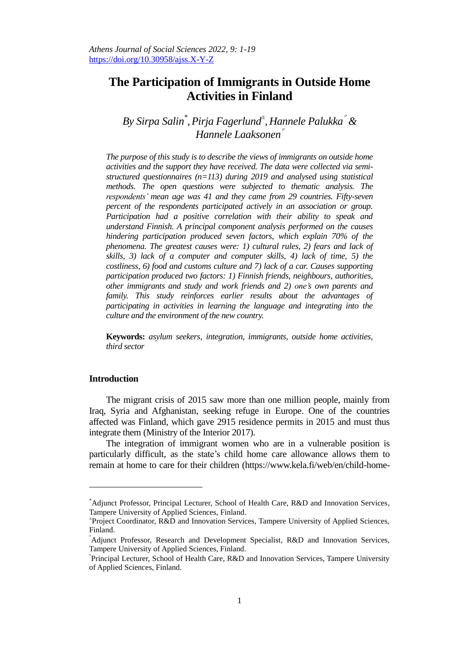# **The Participation of Immigrants in Outside Home Activities in Finland**

*By Sirpa Salin\* ,Pirja Fagerlund<sup>±</sup> ,Hannele Palukka & Hannele Laaksonen*

*The purpose of this study is to describe the views of immigrants on outside home activities and the support they have received. The data were collected via semistructured questionnaires (n=113) during 2019 and analysed using statistical methods. The open questions were subjected to thematic analysis. The respondents' mean age was 41 and they came from 29 countries. Fifty-seven percent of the respondents participated actively in an association or group. Participation had a positive correlation with their ability to speak and understand Finnish. A principal component analysis performed on the causes hindering participation produced seven factors, which explain 70% of the phenomena. The greatest causes were: 1) cultural rules, 2) fears and lack of skills, 3) lack of a computer and computer skills, 4) lack of time, 5) the costliness, 6) food and customs culture and 7) lack of a car. Causes supporting participation produced two factors: 1) Finnish friends, neighbours, authorities, other immigrants and study and work friends and 2) one's own parents and family. This study reinforces earlier results about the advantages of participating in activities in learning the language and integrating into the culture and the environment of the new country.*

**Keywords:** *asylum seekers, integration, immigrants, outside home activities, third sector*

#### **Introduction**

 $\overline{a}$ 

The migrant crisis of 2015 saw more than one million people, mainly from Iraq, Syria and Afghanistan, seeking refuge in Europe. One of the countries affected was Finland, which gave 2915 residence permits in 2015 and must thus integrate them (Ministry of the Interior 2017).

The integration of immigrant women who are in a vulnerable position is particularly difficult, as the state's child home care allowance allows them to remain at home to care for their children (https://www.kela.fi/web/en/child-home-

<sup>\*</sup>Adjunct Professor, Principal Lecturer, School of Health Care, R&D and Innovation Services, Tampere University of Applied Sciences, Finland.

<sup>±</sup> Project Coordinator, R&D and Innovation Services, Tampere University of Applied Sciences, Finland.

Adjunct Professor, Research and Development Specialist, R&D and Innovation Services, Tampere University of Applied Sciences, Finland.

Principal Lecturer, School of Health Care, R&D and Innovation Services, Tampere University of Applied Sciences, Finland.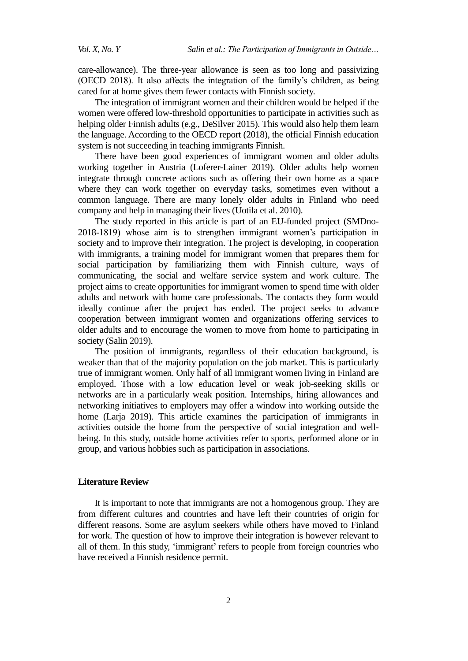care-allowance). The three-year allowance is seen as too long and passivizing (OECD 2018). It also affects the integration of the family's children, as being cared for at home gives them fewer contacts with Finnish society.

The integration of immigrant women and their children would be helped if the women were offered low-threshold opportunities to participate in activities such as helping older Finnish adults (e.g., DeSilver 2015). This would also help them learn the language. According to the OECD report (2018), the official Finnish education system is not succeeding in teaching immigrants Finnish.

There have been good experiences of immigrant women and older adults working together in Austria (Loferer-Lainer 2019). Older adults help women integrate through concrete actions such as offering their own home as a space where they can work together on everyday tasks, sometimes even without a common language. There are many lonely older adults in Finland who need company and help in managing their lives (Uotila et al. 2010).

The study reported in this article is part of an EU-funded project (SMDno-2018-1819) whose aim is to strengthen immigrant women's participation in society and to improve their integration. The project is developing, in cooperation with immigrants, a training model for immigrant women that prepares them for social participation by familiarizing them with Finnish culture, ways of communicating, the social and welfare service system and work culture. The project aims to create opportunities for immigrant women to spend time with older adults and network with home care professionals. The contacts they form would ideally continue after the project has ended. The project seeks to advance cooperation between immigrant women and organizations offering services to older adults and to encourage the women to move from home to participating in society [\(Salin](https://projects.tuni.fi/kotoa-kotiin-ja-yhteiskuntaan/in-english/) 2019).

The position of immigrants, regardless of their education background, is weaker than that of the majority population on the job market. This is particularly true of immigrant women. Only half of all immigrant women living in Finland are employed. Those with a low education level or weak job-seeking skills or networks are in a particularly weak position. Internships, hiring allowances and networking initiatives to employers may offer a window into working outside the home (Larja 2019). This article examines the participation of immigrants in activities outside the home from the perspective of social integration and wellbeing. In this study, outside home activities refer to sports, performed alone or in group, and various hobbies such as participation in associations.

## **Literature Review**

It is important to note that immigrants are not a homogenous group. They are from different cultures and countries and have left their countries of origin for different reasons. Some are asylum seekers while others have moved to Finland for work. The question of how to improve their integration is however relevant to all of them. In this study, 'immigrant' refers to people from foreign countries who have received a Finnish residence permit.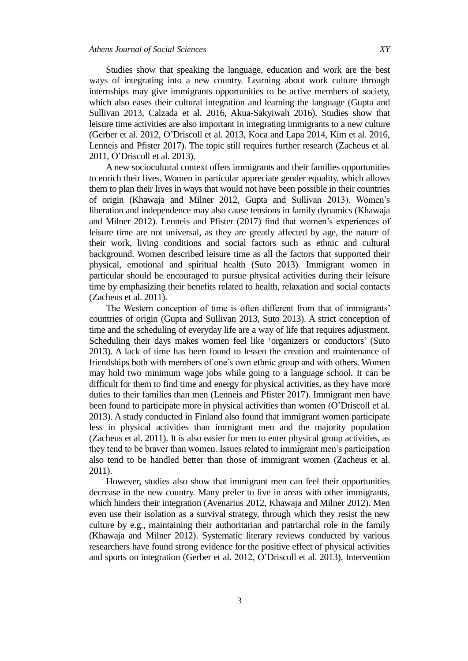Studies show that speaking the language, education and work are the best ways of integrating into a new country. Learning about work culture through internships may give immigrants opportunities to be active members of society, which also eases their cultural integration and learning the language (Gupta and Sullivan 2013, Calzada et al. 2016, Akua-Sakyiwah 2016). Studies show that leisure time activities are also important in integrating immigrants to a new culture (Gerber et al. 2012, O'Driscoll et al. 2013, Koca and Lapa 2014, Kim et al. 2016, Lenneis and Pfister 2017). The topic still requires further research (Zacheus et al. 2011, O'Driscoll et al. 2013).

A new sociocultural context offers immigrants and their families opportunities to enrich their lives. Women in particular appreciate gender equality, which allows them to plan their lives in ways that would not have been possible in their countries of origin (Khawaja and Milner 2012, Gupta and Sullivan 2013). Women's liberation and independence may also cause tensions in family dynamics (Khawaja and Milner 2012). Lenneis and Pfister (2017) find that women's experiences of leisure time are not universal, as they are greatly affected by age, the nature of their work, living conditions and social factors such as ethnic and cultural background. Women described leisure time as all the factors that supported their physical, emotional and spiritual health (Suto 2013). Immigrant women in particular should be encouraged to pursue physical activities during their leisure time by emphasizing their benefits related to health, relaxation and social contacts (Zacheus et al. 2011).

The Western conception of time is often different from that of immigrants' countries of origin (Gupta and Sullivan 2013, Suto 2013). A strict conception of time and the scheduling of everyday life are a way of life that requires adjustment. Scheduling their days makes women feel like 'organizers or conductors' (Suto 2013). A lack of time has been found to lessen the creation and maintenance of friendships both with members of one's own ethnic group and with others. Women may hold two minimum wage jobs while going to a language school. It can be difficult for them to find time and energy for physical activities, as they have more duties to their families than men (Lenneis and Pfister 2017). Immigrant men have been found to participate more in physical activities than women (O'Driscoll et al. 2013). A study conducted in Finland also found that immigrant women participate less in physical activities than immigrant men and the majority population (Zacheus et al. 2011). It is also easier for men to enter physical group activities, as they tend to be braver than women. Issues related to immigrant men's participation also tend to be handled better than those of immigrant women (Zacheus et al. 2011).

However, studies also show that immigrant men can feel their opportunities decrease in the new country. Many prefer to live in areas with other immigrants, which hinders their integration (Avenarius 2012, Khawaja and Milner 2012). Men even use their isolation as a survival strategy, through which they resist the new culture by e.g., maintaining their authoritarian and patriarchal role in the family (Khawaja and Milner 2012). Systematic literary reviews conducted by various researchers have found strong evidence for the positive effect of physical activities and sports on integration (Gerber et al. 2012, O'Driscoll et al. 2013). Intervention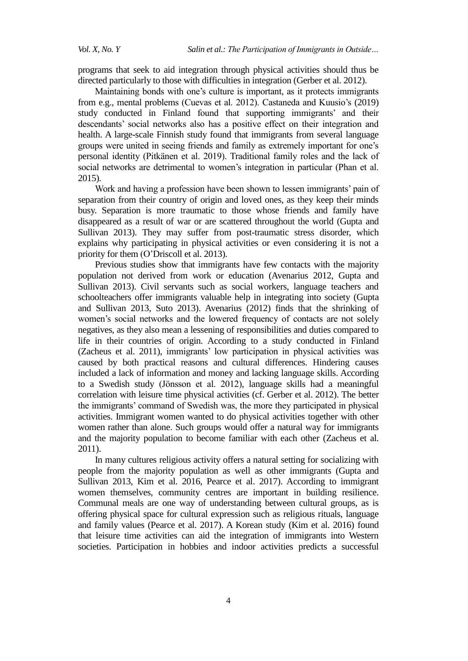programs that seek to aid integration through physical activities should thus be directed particularly to those with difficulties in integration (Gerber et al. 2012).

Maintaining bonds with one's culture is important, as it protects immigrants from e.g., mental problems (Cuevas et al. 2012). Castaneda and Kuusio's (2019) study conducted in Finland found that supporting immigrants' and their descendants' social networks also has a positive effect on their integration and health. A large-scale Finnish study found that immigrants from several language groups were united in seeing friends and family as extremely important for one's personal identity (Pitkänen et al. 2019). Traditional family roles and the lack of social networks are detrimental to women's integration in particular (Phan et al. 2015).

Work and having a profession have been shown to lessen immigrants' pain of separation from their country of origin and loved ones, as they keep their minds busy. Separation is more traumatic to those whose friends and family have disappeared as a result of war or are scattered throughout the world (Gupta and Sullivan 2013). They may suffer from post-traumatic stress disorder, which explains why participating in physical activities or even considering it is not a priority for them (O'Driscoll et al. 2013).

Previous studies show that immigrants have few contacts with the majority population not derived from work or education (Avenarius 2012, Gupta and Sullivan 2013). Civil servants such as social workers, language teachers and schoolteachers offer immigrants valuable help in integrating into society (Gupta and Sullivan 2013, Suto 2013). Avenarius (2012) finds that the shrinking of women's social networks and the lowered frequency of contacts are not solely negatives, as they also mean a lessening of responsibilities and duties compared to life in their countries of origin. According to a study conducted in Finland (Zacheus et al. 2011), immigrants' low participation in physical activities was caused by both practical reasons and cultural differences. Hindering causes included a lack of information and money and lacking language skills. According to a Swedish study (Jönsson et al. 2012), language skills had a meaningful correlation with leisure time physical activities (cf. Gerber et al. 2012). The better the immigrants' command of Swedish was, the more they participated in physical activities. Immigrant women wanted to do physical activities together with other women rather than alone. Such groups would offer a natural way for immigrants and the majority population to become familiar with each other (Zacheus et al. 2011).

In many cultures religious activity offers a natural setting for socializing with people from the majority population as well as other immigrants (Gupta and Sullivan 2013, Kim et al. 2016, Pearce et al. 2017). According to immigrant women themselves, community centres are important in building resilience. Communal meals are one way of understanding between cultural groups, as is offering physical space for cultural expression such as religious rituals, language and family values (Pearce et al. 2017). A Korean study (Kim et al. 2016) found that leisure time activities can aid the integration of immigrants into Western societies. Participation in hobbies and indoor activities predicts a successful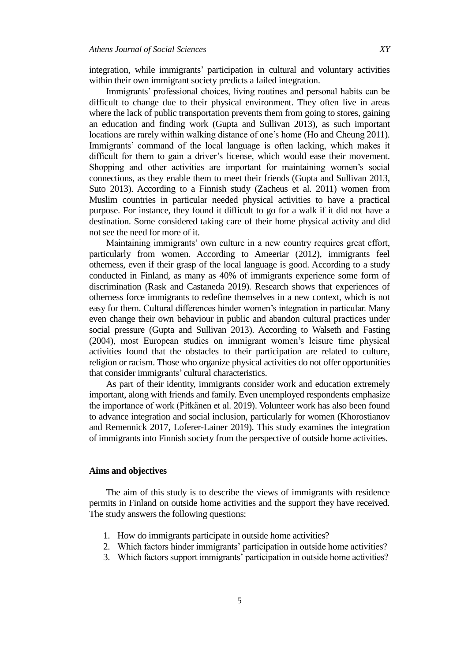integration, while immigrants' participation in cultural and voluntary activities within their own immigrant society predicts a failed integration.

Immigrants' professional choices, living routines and personal habits can be difficult to change due to their physical environment. They often live in areas where the lack of public transportation prevents them from going to stores, gaining an education and finding work (Gupta and Sullivan 2013), as such important locations are rarely within walking distance of one's home (Ho and Cheung 2011). Immigrants' command of the local language is often lacking, which makes it difficult for them to gain a driver's license, which would ease their movement. Shopping and other activities are important for maintaining women's social connections, as they enable them to meet their friends (Gupta and Sullivan 2013, Suto 2013). According to a Finnish study (Zacheus et al. 2011) women from Muslim countries in particular needed physical activities to have a practical purpose. For instance, they found it difficult to go for a walk if it did not have a destination. Some considered taking care of their home physical activity and did not see the need for more of it.

Maintaining immigrants' own culture in a new country requires great effort, particularly from women. According to Ameeriar (2012), immigrants feel otherness, even if their grasp of the local language is good. According to a study conducted in Finland, as many as 40% of immigrants experience some form of discrimination (Rask and Castaneda 2019). Research shows that experiences of otherness force immigrants to redefine themselves in a new context, which is not easy for them. Cultural differences hinder women's integration in particular. Many even change their own behaviour in public and abandon cultural practices under social pressure (Gupta and Sullivan 2013). According to Walseth and Fasting (2004), most European studies on immigrant women's leisure time physical activities found that the obstacles to their participation are related to culture, religion or racism. Those who organize physical activities do not offer opportunities that consider immigrants' cultural characteristics.

As part of their identity, immigrants consider work and education extremely important, along with friends and family. Even unemployed respondents emphasize the importance of work (Pitkänen et al. 2019). Volunteer work has also been found to advance integration and social inclusion, particularly for women (Khorostianov and Remennick 2017, Loferer-Lainer 2019). This study examines the integration of immigrants into Finnish society from the perspective of outside home activities.

#### **Aims and objectives**

The aim of this study is to describe the views of immigrants with residence permits in Finland on outside home activities and the support they have received. The study answers the following questions:

- 1. How do immigrants participate in outside home activities?
- 2. Which factors hinder immigrants' participation in outside home activities?
- 3. Which factors support immigrants' participation in outside home activities?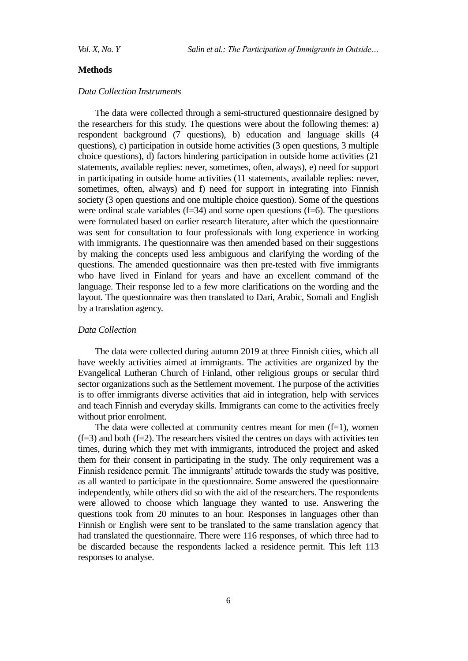#### **Methods**

## *Data Collection Instruments*

The data were collected through a semi-structured questionnaire designed by the researchers for this study. The questions were about the following themes: a) respondent background (7 questions), b) education and language skills (4 questions), c) participation in outside home activities (3 open questions, 3 multiple choice questions), d) factors hindering participation in outside home activities (21 statements, available replies: never, sometimes, often, always), e) need for support in participating in outside home activities (11 statements, available replies: never, sometimes, often, always) and f) need for support in integrating into Finnish society (3 open questions and one multiple choice question). Some of the questions were ordinal scale variables  $(f=34)$  and some open questions  $(f=6)$ . The questions were formulated based on earlier research literature, after which the questionnaire was sent for consultation to four professionals with long experience in working with immigrants. The questionnaire was then amended based on their suggestions by making the concepts used less ambiguous and clarifying the wording of the questions. The amended questionnaire was then pre-tested with five immigrants who have lived in Finland for years and have an excellent command of the language. Their response led to a few more clarifications on the wording and the layout. The questionnaire was then translated to Dari, Arabic, Somali and English by a translation agency.

## *Data Collection*

The data were collected during autumn 2019 at three Finnish cities, which all have weekly activities aimed at immigrants. The activities are organized by the Evangelical Lutheran Church of Finland, other religious groups or secular third sector organizations such as the Settlement movement. The purpose of the activities is to offer immigrants diverse activities that aid in integration, help with services and teach Finnish and everyday skills. Immigrants can come to the activities freely without prior enrolment.

The data were collected at community centres meant for men  $(f=1)$ , women  $(f=3)$  and both  $(f=2)$ . The researchers visited the centres on days with activities ten times, during which they met with immigrants, introduced the project and asked them for their consent in participating in the study. The only requirement was a Finnish residence permit. The immigrants' attitude towards the study was positive, as all wanted to participate in the questionnaire. Some answered the questionnaire independently, while others did so with the aid of the researchers. The respondents were allowed to choose which language they wanted to use. Answering the questions took from 20 minutes to an hour. Responses in languages other than Finnish or English were sent to be translated to the same translation agency that had translated the questionnaire. There were 116 responses, of which three had to be discarded because the respondents lacked a residence permit. This left 113 responses to analyse.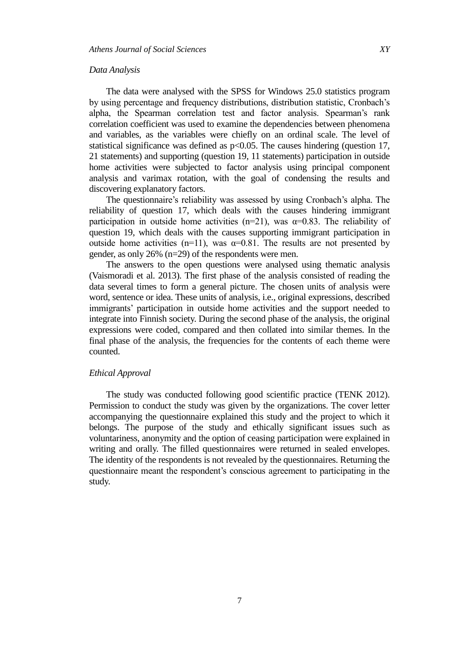#### *Data Analysis*

The data were analysed with the SPSS for Windows 25.0 statistics program by using percentage and frequency distributions, distribution statistic, Cronbach's alpha, the Spearman correlation test and factor analysis. Spearman's rank correlation coefficient was used to examine the dependencies between phenomena and variables, as the variables were chiefly on an ordinal scale. The level of statistical significance was defined as  $p<0.05$ . The causes hindering (question 17, 21 statements) and supporting (question 19, 11 statements) participation in outside home activities were subjected to factor analysis using principal component analysis and varimax rotation, with the goal of condensing the results and discovering explanatory factors.

The questionnaire's reliability was assessed by using Cronbach's alpha. The reliability of question 17, which deals with the causes hindering immigrant participation in outside home activities (n=21), was  $\alpha$ =0.83. The reliability of question 19, which deals with the causes supporting immigrant participation in outside home activities (n=11), was  $\alpha$ =0.81. The results are not presented by gender, as only 26% (n=29) of the respondents were men.

The answers to the open questions were analysed using thematic analysis (Vaismoradi et al. 2013). The first phase of the analysis consisted of reading the data several times to form a general picture. The chosen units of analysis were word, sentence or idea. These units of analysis, i.e., original expressions, described immigrants' participation in outside home activities and the support needed to integrate into Finnish society. During the second phase of the analysis, the original expressions were coded, compared and then collated into similar themes. In the final phase of the analysis, the frequencies for the contents of each theme were counted.

## *Ethical Approval*

The study was conducted following good scientific practice (TENK 2012). Permission to conduct the study was given by the organizations. The cover letter accompanying the questionnaire explained this study and the project to which it belongs. The purpose of the study and ethically significant issues such as voluntariness, anonymity and the option of ceasing participation were explained in writing and orally. The filled questionnaires were returned in sealed envelopes. The identity of the respondents is not revealed by the questionnaires. Returning the questionnaire meant the respondent's conscious agreement to participating in the study.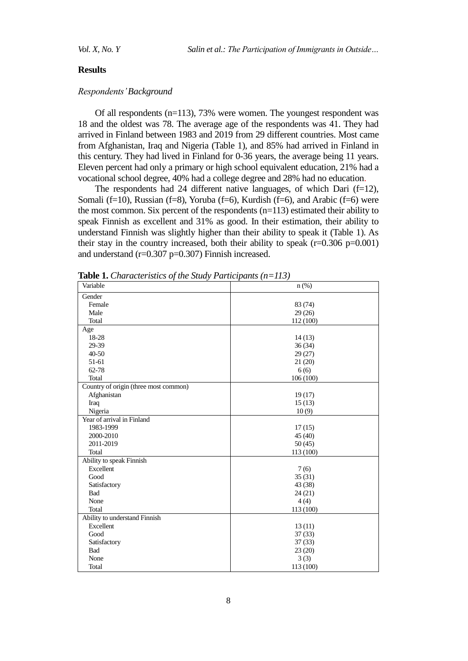#### **Results**

## *Respondents' Background*

Of all respondents (n=113), 73% were women. The youngest respondent was 18 and the oldest was 78. The average age of the respondents was 41. They had arrived in Finland between 1983 and 2019 from 29 different countries. Most came from Afghanistan, Iraq and Nigeria (Table 1), and 85% had arrived in Finland in this century. They had lived in Finland for 0-36 years, the average being 11 years. Eleven percent had only a primary or high school equivalent education, 21% had a vocational school degree, 40% had a college degree and 28% had no education.

The respondents had 24 different native languages, of which Dari  $(f=12)$ , Somali (f=10), Russian (f=8), Yoruba (f=6), Kurdish (f=6), and Arabic (f=6) were the most common. Six percent of the respondents (n=113) estimated their ability to speak Finnish as excellent and 31% as good. In their estimation, their ability to understand Finnish was slightly higher than their ability to speak it (Table 1). As their stay in the country increased, both their ability to speak  $(r=0.306 \text{ p}=0.001)$ and understand  $(r=0.307 \text{ p} = 0.307)$  Finnish increased.

| <b>There I</b> Character is the state state of $\mu$ –110)<br>Variable | $n$ (%)   |
|------------------------------------------------------------------------|-----------|
| Gender                                                                 |           |
| Female                                                                 | 83 (74)   |
| Male                                                                   | 29(26)    |
| Total                                                                  | 112 (100) |
| Age                                                                    |           |
| 18-28                                                                  | 14(13)    |
| 29-39                                                                  | 36(34)    |
| 40-50                                                                  | 29(27)    |
| 51-61                                                                  | 21(20)    |
| 62-78                                                                  | 6(6)      |
| Total                                                                  | 106 (100) |
| Country of origin (three most common)                                  |           |
| Afghanistan                                                            | 19(17)    |
| Iraq                                                                   | 15(13)    |
| Nigeria                                                                | 10(9)     |
| Year of arrival in Finland                                             |           |
| 1983-1999                                                              | 17(15)    |
| 2000-2010                                                              | 45(40)    |
| 2011-2019                                                              | 50(45)    |
| Total                                                                  | 113 (100) |
| Ability to speak Finnish                                               |           |
| Excellent                                                              | 7(6)      |
| Good                                                                   | 35(31)    |
| Satisfactory                                                           | 43 (38)   |
| Bad                                                                    | 24(21)    |
| None                                                                   | 4(4)      |
| Total                                                                  | 113 (100) |
| Ability to understand Finnish                                          |           |
| Excellent                                                              | 13(11)    |
| Good                                                                   | 37(33)    |
| Satisfactory                                                           | 37(33)    |
| Bad                                                                    | 23(20)    |
| None                                                                   | 3(3)      |
| Total                                                                  | 113 (100) |

**Table 1.** *Characteristics of the Study Participants (n=113)*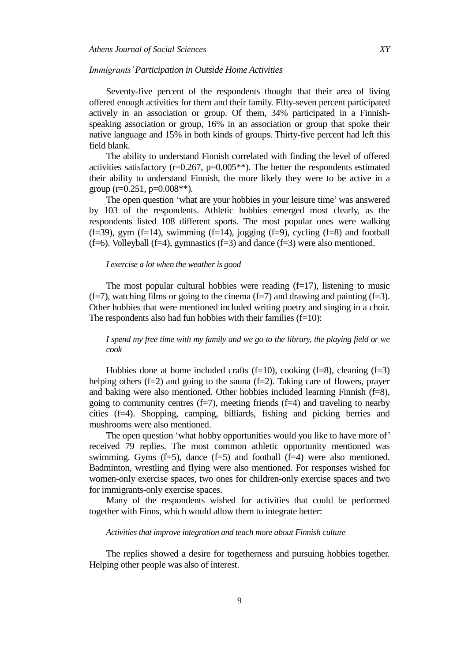#### *Immigrants'Participation in Outside Home Activities*

Seventy-five percent of the respondents thought that their area of living offered enough activities for them and their family. Fifty-seven percent participated actively in an association or group. Of them, 34% participated in a Finnishspeaking association or group, 16% in an association or group that spoke their native language and 15% in both kinds of groups. Thirty-five percent had left this field blank.

The ability to understand Finnish correlated with finding the level of offered activities satisfactory ( $r=0.267$ ,  $p=0.005**$ ). The better the respondents estimated their ability to understand Finnish, the more likely they were to be active in a group  $(r=0.251, p=0.008**)$ .

The open question 'what are your hobbies in your leisure time' was answered by 103 of the respondents. Athletic hobbies emerged most clearly, as the respondents listed 108 different sports. The most popular ones were walking  $(f=39)$ , gym  $(f=14)$ , swimming  $(f=14)$ , jogging  $(f=9)$ , cycling  $(f=8)$  and football  $(f=6)$ . Volleyball  $(f=4)$ , gymnastics  $(f=3)$  and dance  $(f=3)$  were also mentioned.

#### *I exercise a lot when the weather is good*

The most popular cultural hobbies were reading  $(f=17)$ , listening to music  $(f=7)$ , watching films or going to the cinema  $(f=7)$  and drawing and painting  $(f=3)$ . Other hobbies that were mentioned included writing poetry and singing in a choir. The respondents also had fun hobbies with their families  $(f=10)$ :

*I spend my free time with my family and we go to the library, the playing field or we cook*

Hobbies done at home included crafts  $(f=10)$ , cooking  $(f=8)$ , cleaning  $(f=3)$ helping others (f=2) and going to the sauna (f=2). Taking care of flowers, prayer and baking were also mentioned. Other hobbies included learning Finnish  $(f=8)$ , going to community centres  $(f=7)$ , meeting friends  $(f=4)$  and traveling to nearby cities (f=4). Shopping, camping, billiards, fishing and picking berries and mushrooms were also mentioned.

The open question 'what hobby opportunities would you like to have more of' received 79 replies. The most common athletic opportunity mentioned was swimming. Gyms  $(f=5)$ , dance  $(f=5)$  and football  $(f=4)$  were also mentioned. Badminton, wrestling and flying were also mentioned. For responses wished for women-only exercise spaces, two ones for children-only exercise spaces and two for immigrants-only exercise spaces.

Many of the respondents wished for activities that could be performed together with Finns, which would allow them to integrate better:

#### *Activities that improve integration and teach more about Finnish culture*

The replies showed a desire for togetherness and pursuing hobbies together. Helping other people was also of interest.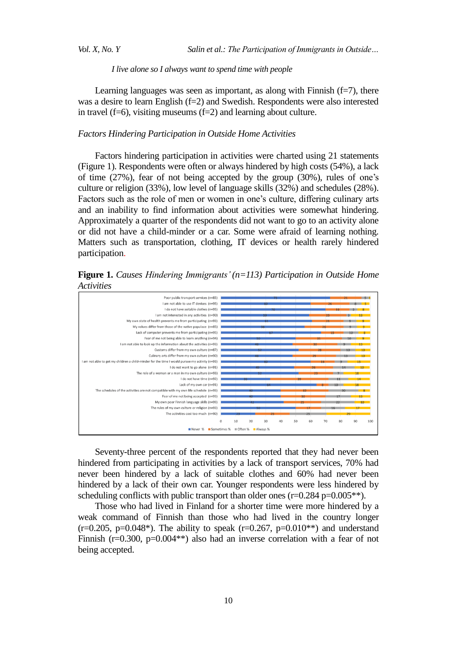*Vol. X, No. Y Salin et al.: The Participation of Immigrants in Outside…*

#### *I live alone so I always want to spend time with people*

Learning languages was seen as important, as along with Finnish  $(f=7)$ , there was a desire to learn English  $(f=2)$  and Swedish. Respondents were also interested in travel (f=6), visiting museums (f=2) and learning about culture.

#### *Factors Hindering Participation in Outside Home Activities*

Factors hindering participation in activities were charted using 21 statements (Figure 1). Respondents were often or always hindered by high costs (54%), a lack of time (27%), fear of not being accepted by the group (30%), rules of one's culture or religion (33%), low level of language skills (32%) and schedules (28%). Factors such as the role of men or women in one's culture, differing culinary arts and an inability to find information about activities were somewhat hindering. Approximately a quarter of the respondents did not want to go to an activity alone or did not have a child-minder or a car. Some were afraid of learning nothing. Matters such as transportation, clothing, IT devices or health rarely hindered participation.

**Figure 1.** *Causes Hindering Immigrants' (n=113) Participation in Outside Home Activities*



Seventy-three percent of the respondents reported that they had never been hindered from participating in activities by a lack of transport services, 70% had never been hindered by a lack of suitable clothes and 60% had never been hindered by a lack of their own car. Younger respondents were less hindered by scheduling conflicts with public transport than older ones  $(r=0.284 \text{ p}=0.005**)$ .

Those who had lived in Finland for a shorter time were more hindered by a weak command of Finnish than those who had lived in the country longer  $(r=0.205, p=0.048^*)$ . The ability to speak  $(r=0.267, p=0.010^{**})$  and understand Finnish ( $r=0.300$ ,  $p=0.004**$ ) also had an inverse correlation with a fear of not being accepted.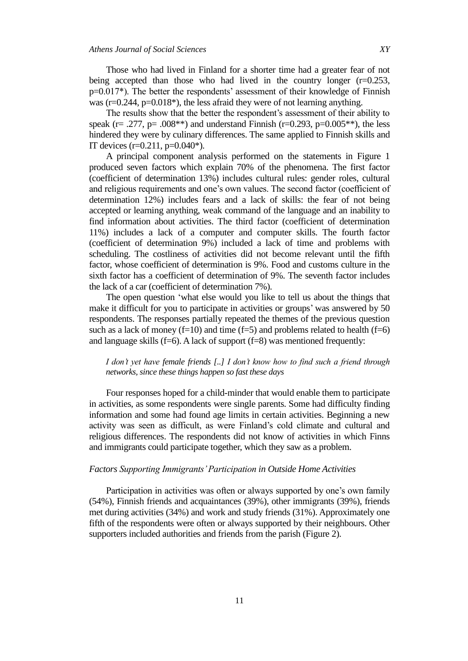Those who had lived in Finland for a shorter time had a greater fear of not being accepted than those who had lived in the country longer (r=0.253, p=0.017\*). The better the respondents' assessment of their knowledge of Finnish was ( $r=0.244$ ,  $p=0.018$ <sup>\*</sup>), the less afraid they were of not learning anything.

The results show that the better the respondent's assessment of their ability to speak (r= .277, p= .008\*\*) and understand Finnish (r=0.293, p=0.005\*\*), the less hindered they were by culinary differences. The same applied to Finnish skills and IT devices  $(r=0.211, p=0.040)$ <sup>\*</sup>).

A principal component analysis performed on the statements in Figure 1 produced seven factors which explain 70% of the phenomena. The first factor (coefficient of determination 13%) includes cultural rules: gender roles, cultural and religious requirements and one's own values. The second factor (coefficient of determination 12%) includes fears and a lack of skills: the fear of not being accepted or learning anything, weak command of the language and an inability to find information about activities. The third factor (coefficient of determination 11%) includes a lack of a computer and computer skills. The fourth factor (coefficient of determination 9%) included a lack of time and problems with scheduling. The costliness of activities did not become relevant until the fifth factor, whose coefficient of determination is 9%. Food and customs culture in the sixth factor has a coefficient of determination of 9%. The seventh factor includes the lack of a car (coefficient of determination 7%).

The open question 'what else would you like to tell us about the things that make it difficult for you to participate in activities or groups' was answered by 50 respondents. The responses partially repeated the themes of the previous question such as a lack of money (f=10) and time (f=5) and problems related to health (f=6) and language skills  $(f=6)$ . A lack of support  $(f=8)$  was mentioned frequently:

## *I don't yet have female friends [..] I don't know how to find such a friend through networks, since these things happen so fast these days*

Four responses hoped for a child-minder that would enable them to participate in activities, as some respondents were single parents. Some had difficulty finding information and some had found age limits in certain activities. Beginning a new activity was seen as difficult, as were Finland's cold climate and cultural and religious differences. The respondents did not know of activities in which Finns and immigrants could participate together, which they saw as a problem.

## *Factors Supporting Immigrants' Participation in Outside Home Activities*

Participation in activities was often or always supported by one's own family (54%), Finnish friends and acquaintances (39%), other immigrants (39%), friends met during activities (34%) and work and study friends (31%). Approximately one fifth of the respondents were often or always supported by their neighbours. Other supporters included authorities and friends from the parish (Figure 2).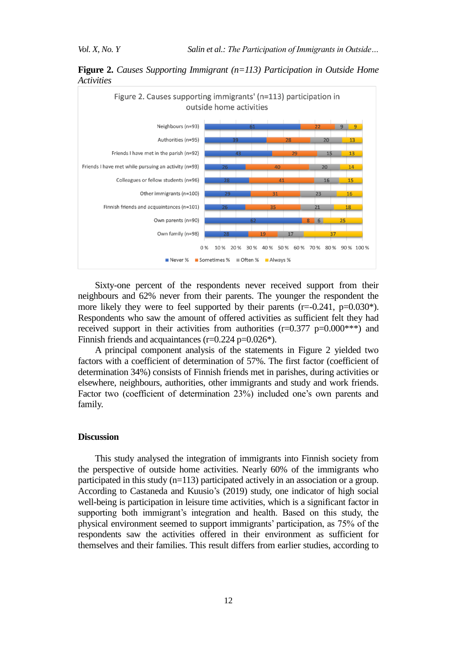**Figure 2.** *Causes Supporting Immigrant (n=113) Participation in Outside Home Activities*



Sixty-one percent of the respondents never received support from their neighbours and 62% never from their parents. The younger the respondent the more likely they were to feel supported by their parents  $(r=-0.241, p=0.030^*)$ . Respondents who saw the amount of offered activities as sufficient felt they had received support in their activities from authorities  $(r=0.377 \text{ p}=0.000***)$  and Finnish friends and acquaintances  $(r=0.224 \text{ p} = 0.026^*)$ .

A principal component analysis of the statements in Figure 2 yielded two factors with a coefficient of determination of 57%. The first factor (coefficient of determination 34%) consists of Finnish friends met in parishes, during activities or elsewhere, neighbours, authorities, other immigrants and study and work friends. Factor two (coefficient of determination 23%) included one's own parents and family.

### **Discussion**

This study analysed the integration of immigrants into Finnish society from the perspective of outside home activities. Nearly 60% of the immigrants who participated in this study (n=113) participated actively in an association or a group. According to Castaneda and Kuusio's (2019) study, one indicator of high social well-being is participation in leisure time activities, which is a significant factor in supporting both immigrant's integration and health. Based on this study, the physical environment seemed to support immigrants' participation, as 75% of the respondents saw the activities offered in their environment as sufficient for themselves and their families. This result differs from earlier studies, according to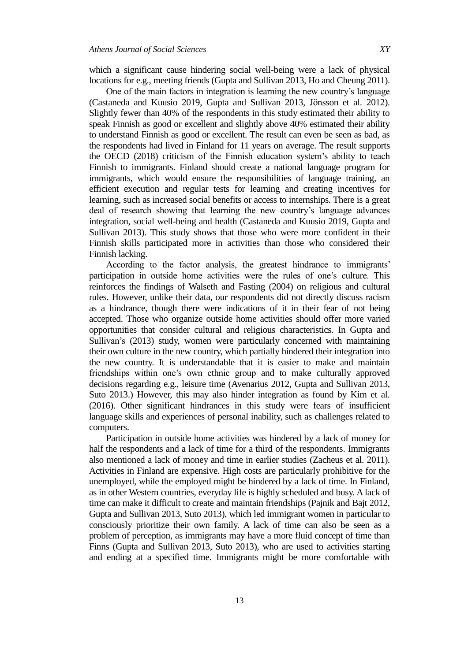which a significant cause hindering social well-being were a lack of physical locations for e.g., meeting friends (Gupta and Sullivan 2013, Ho and Cheung 2011).

One of the main factors in integration is learning the new country's language (Castaneda and Kuusio 2019, Gupta and Sullivan 2013, Jönsson et al. 2012). Slightly fewer than 40% of the respondents in this study estimated their ability to speak Finnish as good or excellent and slightly above 40% estimated their ability to understand Finnish as good or excellent. The result can even be seen as bad, as the respondents had lived in Finland for 11 years on average. The result supports the OECD (2018) criticism of the Finnish education system's ability to teach Finnish to immigrants. Finland should create a national language program for immigrants, which would ensure the responsibilities of language training, an efficient execution and regular tests for learning and creating incentives for learning, such as increased social benefits or access to internships. There is a great deal of research showing that learning the new country's language advances integration, social well-being and health (Castaneda and Kuusio 2019, Gupta and Sullivan 2013). This study shows that those who were more confident in their Finnish skills participated more in activities than those who considered their Finnish lacking.

According to the factor analysis, the greatest hindrance to immigrants' participation in outside home activities were the rules of one's culture. This reinforces the findings of Walseth and Fasting (2004) on religious and cultural rules. However, unlike their data, our respondents did not directly discuss racism as a hindrance, though there were indications of it in their fear of not being accepted. Those who organize outside home activities should offer more varied opportunities that consider cultural and religious characteristics. In Gupta and Sullivan's (2013) study, women were particularly concerned with maintaining their own culture in the new country, which partially hindered their integration into the new country. It is understandable that it is easier to make and maintain friendships within one's own ethnic group and to make culturally approved decisions regarding e.g., leisure time (Avenarius 2012, Gupta and Sullivan 2013, Suto 2013.) However, this may also hinder integration as found by Kim et al. (2016). Other significant hindrances in this study were fears of insufficient language skills and experiences of personal inability, such as challenges related to computers.

Participation in outside home activities was hindered by a lack of money for half the respondents and a lack of time for a third of the respondents. Immigrants also mentioned a lack of money and time in earlier studies (Zacheus et al. 2011). Activities in Finland are expensive. High costs are particularly prohibitive for the unemployed, while the employed might be hindered by a lack of time. In Finland, as in other Western countries, everyday life is highly scheduled and busy. A lack of time can make it difficult to create and maintain friendships (Pajnik and Bajt 2012, Gupta and Sullivan 2013, Suto 2013), which led immigrant women in particular to consciously prioritize their own family. A lack of time can also be seen as a problem of perception, as immigrants may have a more fluid concept of time than Finns (Gupta and Sullivan 2013, Suto 2013), who are used to activities starting and ending at a specified time. Immigrants might be more comfortable with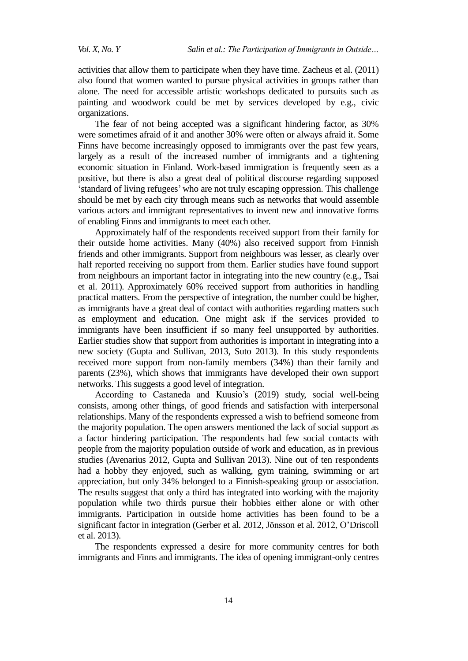activities that allow them to participate when they have time. Zacheus et al. (2011) also found that women wanted to pursue physical activities in groups rather than alone. The need for accessible artistic workshops dedicated to pursuits such as painting and woodwork could be met by services developed by e.g., civic organizations.

The fear of not being accepted was a significant hindering factor, as 30% were sometimes afraid of it and another 30% were often or always afraid it. Some Finns have become increasingly opposed to immigrants over the past few years, largely as a result of the increased number of immigrants and a tightening economic situation in Finland. Work-based immigration is frequently seen as a positive, but there is also a great deal of political discourse regarding supposed 'standard of living refugees' who are not truly escaping oppression. This challenge should be met by each city through means such as networks that would assemble various actors and immigrant representatives to invent new and innovative forms of enabling Finns and immigrants to meet each other.

Approximately half of the respondents received support from their family for their outside home activities. Many (40%) also received support from Finnish friends and other immigrants. Support from neighbours was lesser, as clearly over half reported receiving no support from them. Earlier studies have found support from neighbours an important factor in integrating into the new country (e.g., Tsai et al. 2011). Approximately 60% received support from authorities in handling practical matters. From the perspective of integration, the number could be higher, as immigrants have a great deal of contact with authorities regarding matters such as employment and education. One might ask if the services provided to immigrants have been insufficient if so many feel unsupported by authorities. Earlier studies show that support from authorities is important in integrating into a new society (Gupta and Sullivan, 2013, Suto 2013). In this study respondents received more support from non-family members (34%) than their family and parents (23%), which shows that immigrants have developed their own support networks. This suggests a good level of integration.

According to Castaneda and Kuusio's (2019) study, social well-being consists, among other things, of good friends and satisfaction with interpersonal relationships. Many of the respondents expressed a wish to befriend someone from the majority population. The open answers mentioned the lack of social support as a factor hindering participation. The respondents had few social contacts with people from the majority population outside of work and education, as in previous studies (Avenarius 2012, Gupta and Sullivan 2013). Nine out of ten respondents had a hobby they enjoyed, such as walking, gym training, swimming or art appreciation, but only 34% belonged to a Finnish-speaking group or association. The results suggest that only a third has integrated into working with the majority population while two thirds pursue their hobbies either alone or with other immigrants. Participation in outside home activities has been found to be a significant factor in integration (Gerber et al. 2012, Jönsson et al. 2012, O'Driscoll et al. 2013).

The respondents expressed a desire for more community centres for both immigrants and Finns and immigrants. The idea of opening immigrant-only centres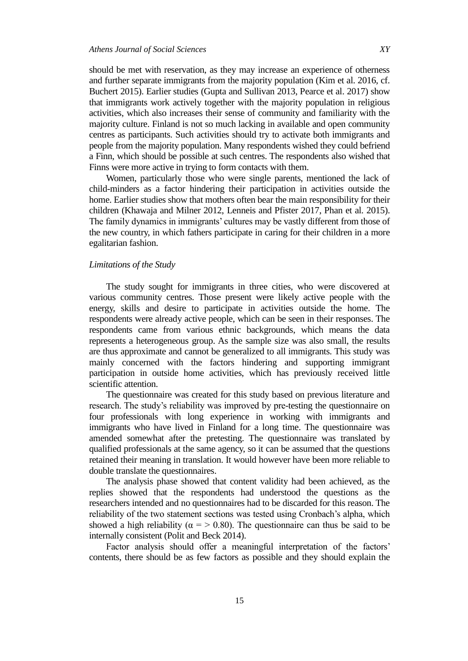should be met with reservation, as they may increase an experience of otherness and further separate immigrants from the majority population (Kim et al. 2016, cf. Buchert 2015). Earlier studies (Gupta and Sullivan 2013, Pearce et al. 2017) show that immigrants work actively together with the majority population in religious activities, which also increases their sense of community and familiarity with the majority culture. Finland is not so much lacking in available and open community centres as participants. Such activities should try to activate both immigrants and people from the majority population. Many respondents wished they could befriend a Finn, which should be possible at such centres. The respondents also wished that Finns were more active in trying to form contacts with them.

Women, particularly those who were single parents, mentioned the lack of child-minders as a factor hindering their participation in activities outside the home. Earlier studies show that mothers often bear the main responsibility for their children (Khawaja and Milner 2012, Lenneis and Pfister 2017, Phan et al. 2015). The family dynamics in immigrants' cultures may be vastly different from those of the new country, in which fathers participate in caring for their children in a more egalitarian fashion.

## *Limitations of the Study*

The study sought for immigrants in three cities, who were discovered at various community centres. Those present were likely active people with the energy, skills and desire to participate in activities outside the home. The respondents were already active people, which can be seen in their responses. The respondents came from various ethnic backgrounds, which means the data represents a heterogeneous group. As the sample size was also small, the results are thus approximate and cannot be generalized to all immigrants. This study was mainly concerned with the factors hindering and supporting immigrant participation in outside home activities, which has previously received little scientific attention.

The questionnaire was created for this study based on previous literature and research. The study's reliability was improved by pre-testing the questionnaire on four professionals with long experience in working with immigrants and immigrants who have lived in Finland for a long time. The questionnaire was amended somewhat after the pretesting. The questionnaire was translated by qualified professionals at the same agency, so it can be assumed that the questions retained their meaning in translation. It would however have been more reliable to double translate the questionnaires.

The analysis phase showed that content validity had been achieved, as the replies showed that the respondents had understood the questions as the researchers intended and no questionnaires had to be discarded for this reason. The reliability of the two statement sections was tested using Cronbach's alpha, which showed a high reliability ( $\alpha$  = > 0.80). The questionnaire can thus be said to be internally consistent (Polit and Beck 2014).

Factor analysis should offer a meaningful interpretation of the factors' contents, there should be as few factors as possible and they should explain the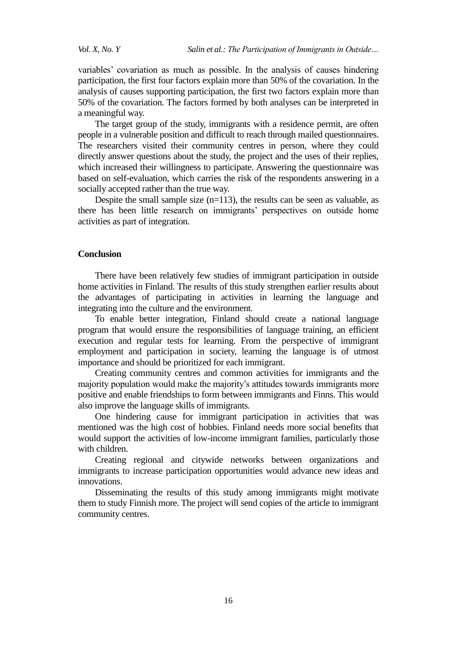variables' covariation as much as possible. In the analysis of causes hindering participation, the first four factors explain more than 50% of the covariation. In the analysis of causes supporting participation, the first two factors explain more than 50% of the covariation. The factors formed by both analyses can be interpreted in a meaningful way.

The target group of the study, immigrants with a residence permit, are often people in a vulnerable position and difficult to reach through mailed questionnaires. The researchers visited their community centres in person, where they could directly answer questions about the study, the project and the uses of their replies, which increased their willingness to participate. Answering the questionnaire was based on self-evaluation, which carries the risk of the respondents answering in a socially accepted rather than the true way.

Despite the small sample size  $(n=113)$ , the results can be seen as valuable, as there has been little research on immigrants' perspectives on outside home activities as part of integration.

## **Conclusion**

There have been relatively few studies of immigrant participation in outside home activities in Finland. The results of this study strengthen earlier results about the advantages of participating in activities in learning the language and integrating into the culture and the environment.

To enable better integration, Finland should create a national language program that would ensure the responsibilities of language training, an efficient execution and regular tests for learning. From the perspective of immigrant employment and participation in society, learning the language is of utmost importance and should be prioritized for each immigrant.

Creating community centres and common activities for immigrants and the majority population would make the majority's attitudes towards immigrants more positive and enable friendships to form between immigrants and Finns. This would also improve the language skills of immigrants.

One hindering cause for immigrant participation in activities that was mentioned was the high cost of hobbies. Finland needs more social benefits that would support the activities of low-income immigrant families, particularly those with children.

Creating regional and citywide networks between organizations and immigrants to increase participation opportunities would advance new ideas and innovations.

Disseminating the results of this study among immigrants might motivate them to study Finnish more. The project will send copies of the article to immigrant community centres.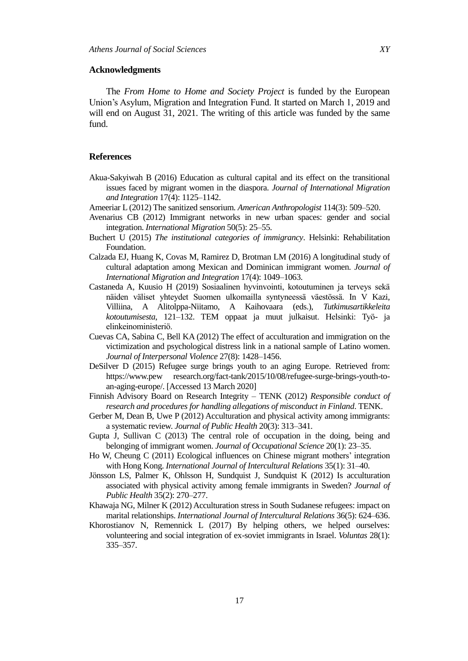#### **Acknowledgments**

The *From Home to Home and Society Project* is funded by the European Union's Asylum, Migration and Integration Fund. It started on March 1, 2019 and will end on August 31, 2021. The writing of this article was funded by the same fund.

#### **References**

- Akua-Sakyiwah B (2016) Education as cultural capital and its effect on the transitional issues faced by migrant women in the diaspora. *Journal of International Migration and Integration* 17(4): 1125–1142.
- Ameeriar L (2012) The sanitized sensorium. *American Anthropologist* 114(3): 509–520.
- Avenarius CB (2012) Immigrant networks in new urban spaces: gender and social integration. *International Migration* 50(5): 25–55.
- Buchert U (2015) *The institutional categories of immigrancy*. Helsinki: Rehabilitation Foundation.
- Calzada EJ, Huang K, Covas M, Ramirez D, Brotman LM (2016) A longitudinal study of cultural adaptation among Mexican and Dominican immigrant women. *Journal of International Migration and Integration* 17(4): 1049–1063.
- Castaneda A, Kuusio H (2019) Sosiaalinen hyvinvointi, kotoutuminen ja terveys sekä näiden väliset yhteydet Suomen ulkomailla syntyneessä väestössä. In V Kazi, Villiina, A Alitolppa-Niitamo, A Kaihovaara (eds.), *Tutkimusartikkeleita kotoutumisesta*, 121–132. TEM oppaat ja muut julkaisut. Helsinki: Työ- ja elinkeinoministeriö.
- Cuevas CA, Sabina C, Bell KA (2012) The effect of acculturation and immigration on the victimization and psychological distress link in a national sample of Latino women. *Journal of Interpersonal Violence* 27(8): 1428–1456.
- DeSilver D (2015) Refugee surge brings youth to an aging Europe. Retrieved from: https://www.pew research.org/fact-tank/2015/10/08/refugee-surge-brings-youth-toan-aging-europe/. [Accessed 13 March 2020]
- Finnish Advisory Board on Research Integrity *–* TENK (2012) *Responsible conduct of research and procedures for handling allegations of misconduct in Finland*. TENK.
- Gerber M, Dean B, Uwe P (2012) Acculturation and physical activity among immigrants: a systematic review. *Journal of Public Health* 20(3): 313–341.
- Gupta J, Sullivan C (2013) The central role of occupation in the doing, being and belonging of immigrant women. *Journal of Occupational Science* 20(1): 23–35.
- Ho W, Cheung C (2011) Ecological influences on Chinese migrant mothers' integration with Hong Kong. *International Journal of Intercultural Relations* 35(1): 31–40.
- Jönsson LS, Palmer K, Ohlsson H, Sundquist J, Sundquist K (2012) Is acculturation associated with physical activity among female immigrants in Sweden? *Journal of Public Health* 35(2): 270–277.
- Khawaja NG, Milner K (2012) Acculturation stress in South Sudanese refugees: impact on marital relationships. *International Journal of Intercultural Relations* 36(5): 624–636.
- Khorostianov N, Remennick L (2017) By helping others, we helped ourselves: volunteering and social integration of ex-soviet immigrants in Israel. *Voluntas* 28(1): 335–357.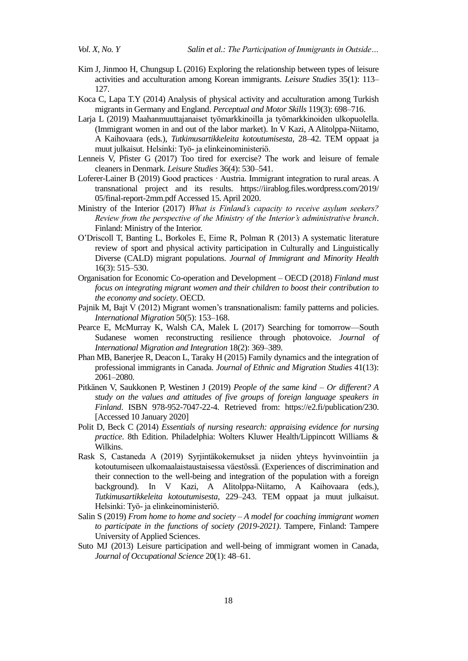- Kim J, Jinmoo H, Chungsup L (2016) Exploring the relationship between types of leisure activities and acculturation among Korean immigrants. *Leisure Studies* 35(1): 113– 127.
- Koca C, Lapa T.Y (2014) Analysis of physical activity and acculturation among Turkish migrants in Germany and England. *Perceptual and Motor Skills* 119(3): 698–716.
- Larja L (2019) Maahanmuuttajanaiset työmarkkinoilla ja työmarkkinoiden ulkopuolella. (Immigrant women in and out of the labor market). In V Kazi, A Alitolppa-Niitamo, A Kaihovaara (eds*.*), *Tutkimusartikkeleita kotoutumisesta*, 28–42. TEM oppaat ja muut julkaisut. Helsinki: Työ- ja elinkeinoministeriö.
- Lenneis V, Pfister G (2017) Too tired for exercise? The work and leisure of female cleaners in Denmark. *Leisure Studies* 36(4): 530–541.
- Loferer-Lainer B (2019) Good practices · Austria. Immigrant integration to rural areas. A transnational project and its results. [https://iirablog.files.wordpress.com/2019/](https://iirablog.files.wordpress.com/2019/%2005/final-report-2mm.pdf%20Accessed%201)  [05/final-report-2mm.pdf Accessed 15](https://iirablog.files.wordpress.com/2019/%2005/final-report-2mm.pdf%20Accessed%201). April 2020.
- Ministry of the Interior (2017) *What is Finland's capacity to receive asylum seekers? Review from the perspective of the Ministry of the Interior's administrative branch*. Finland: Ministry of the Interior.
- O'Driscoll T, Banting L, Borkoles E, Eime R, Polman R (2013) A systematic literature review of sport and physical activity participation in Culturally and Linguistically Diverse (CALD) migrant populations. *Journal of Immigrant and Minority Health* 16(3): 515–530.
- Organisation for Economic Co-operation and Development OECD (2018) *Finland must focus on integrating migrant women and their children to boost their contribution to the economy and society*. OECD.
- Pajnik M, Bajt V (2012) Migrant women's transnationalism: family patterns and policies. *International Migration* 50(5): 153–168.
- Pearce E, McMurray K, Walsh CA, Malek L (2017) Searching for tomorrow—South Sudanese women reconstructing resilience through photovoice. *Journal of International Migration and Integration* 18(2): 369–389.
- Phan MB, Banerjee R, Deacon L, Taraky H (2015) Family dynamics and the integration of professional immigrants in Canada. *Journal of Ethnic and Migration Studies* 41(13): 2061–2080.
- Pitkänen V, Saukkonen P, Westinen J (2019) *People of the same kind – Or different? A study on the values and attitudes of five groups of foreign language speakers in Finland*. ISBN 978-952-7047-22-4. Retrieved from: [https://e2.fi/publication/230.](https://e2.fi/publication/230) [Accessed 10 January 2020]
- Polit D, Beck C (2014) *Essentials of nursing research: appraising evidence for nursing practice*. 8th Edition. Philadelphia: Wolters Kluwer Health/Lippincott Williams & Wilkins.
- Rask S, Castaneda A (2019) Syrjintäkokemukset ja niiden yhteys hyvinvointiin ja kotoutumiseen ulkomaalaistaustaisessa väestössä. (Experiences of discrimination and their connection to the well-being and integration of the population with a foreign background). In V Kazi, A Alitolppa-Niitamo, A Kaihovaara (eds.), *Tutkimusartikkeleita kotoutumisesta*, 229–243. TEM oppaat ja muut julkaisut. Helsinki: Työ- ja elinkeinoministeriö.
- Salin S (2019) *From home to home and society – A model for coaching immigrant women to participate in the functions of society (2019-2021)*. Tampere, Finland: Tampere University of Applied Sciences.
- Suto MJ (2013) Leisure participation and well-being of immigrant women in Canada, *Journal of Occupational Science* 20(1): 48–61.